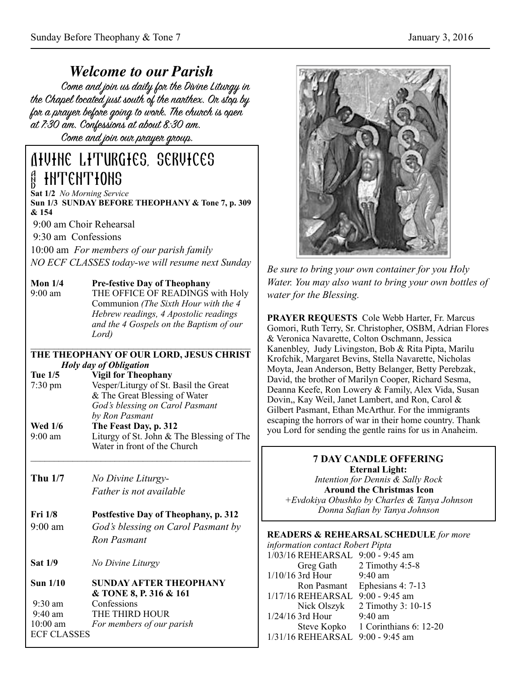*Welcome to our Parish* the Chapel located just south of the nanthex. On stop by for a prayer before going to work. The church is open at 7:30 am. Confessions at about 8:30 am.

Come and join our prayer group.

# Divine Liturgies, services & intentions

**Sat 1/2** *No Morning Service* **Sun 1/3 SUNDAY BEFORE THEOPHANY & Tone 7, p. 309 & 154** 

9:00 am Choir Rehearsal

9:30 am Confessions

10:00 am *For members of our parish family NO ECF CLASSES today-we will resume next Sunday*

#### **Mon 1/4 Pre-festive Day of Theophany**

9:00 am THE OFFICE OF READINGS with Holy Communion *(The Sixth Hour with the 4 Hebrew readings, 4 Apostolic readings and the 4 Gospels on the Baptism of our Lord)* 

#### $\mathcal{L} = \{ \mathcal{L} \mathcal{L} \mathcal{L} \mathcal{L} \mathcal{L} \mathcal{L} \mathcal{L} \mathcal{L} \mathcal{L} \mathcal{L} \mathcal{L} \mathcal{L} \mathcal{L} \mathcal{L} \mathcal{L} \mathcal{L} \mathcal{L} \mathcal{L} \mathcal{L} \mathcal{L} \mathcal{L} \mathcal{L} \mathcal{L} \mathcal{L} \mathcal{L} \mathcal{L} \mathcal{L} \mathcal{L} \mathcal{L} \mathcal{L} \mathcal{L} \mathcal{L} \mathcal{L} \mathcal{L} \mathcal{L} \$ **THE THEOPHANY OF OUR LORD, JESUS CHRIST**  *Holy day of Obligation*

**Tue 1/5 Vigil for Theophany**  7:30 pm Vesper/Liturgy of St. Basil the Great & The Great Blessing of Water *God's blessing on Carol Pasmant by Ron Pasmant*

**Wed 1/6** The Feast Day, p. 312<br>9:00 am Liturgy of St. John & T Liturgy of St. John  $&$  The Blessing of The Water in front of the Church

 $\mathcal{L} = \{ \mathcal{L} \mathcal{L} \mathcal{L} \mathcal{L} \mathcal{L} \mathcal{L} \mathcal{L} \mathcal{L} \mathcal{L} \mathcal{L} \mathcal{L} \mathcal{L} \mathcal{L} \mathcal{L} \mathcal{L} \mathcal{L} \mathcal{L} \mathcal{L} \mathcal{L} \mathcal{L} \mathcal{L} \mathcal{L} \mathcal{L} \mathcal{L} \mathcal{L} \mathcal{L} \mathcal{L} \mathcal{L} \mathcal{L} \mathcal{L} \mathcal{L} \mathcal{L} \mathcal{L} \mathcal{L} \mathcal{L} \$ 

**Thu 1/7** *No Divine Liturgy- Father is not available* 

#### **Fri 1/8 Postfestive Day of Theophany, p. 312**

- 9:00 am *God's blessing on Carol Pasmant by Ron Pasmant*
- **Sat 1/9** *No Divine Liturgy*

#### **Sun 1/10 SUNDAY AFTER THEOPHANY & TONE 8, P. 316 & 161** 9:30 am Confessions 9:40 am THE THIRD HOUR 10:00 am *For members of our parish*  ECF CLASSES



*Be sure to bring your own container for you Holy Water. You may also want to bring your own bottles of water for the Blessing.*

**PRAYER REQUESTS** Cole Webb Harter, Fr. Marcus Gomori, Ruth Terry, Sr. Christopher, OSBM, Adrian Flores & Veronica Navarette, Colton Oschmann, Jessica Kanenbley, Judy Livingston, Bob & Rita Pipta, Marilu Krofchik, Margaret Bevins, Stella Navarette, Nicholas Moyta, Jean Anderson, Betty Belanger, Betty Perebzak, David, the brother of Marilyn Cooper, Richard Sesma, Deanna Keefe, Ron Lowery & Family, Alex Vida, Susan Dovin,, Kay Weil, Janet Lambert, and Ron, Carol & Gilbert Pasmant, Ethan McArthur. For the immigrants escaping the horrors of war in their home country. Thank you Lord for sending the gentle rains for us in Anaheim.

## **7 DAY CANDLE OFFERING Eternal Light:**  *Intention for Dennis & Sally Rock*  **Around the Christmas Icon**  *+Evdokiya Obushko by Charles & Tanya Johnson Donna Safian by Tanya Johnson* **READERS & REHEARSAL SCHEDULE** *for more*

*information contact Robert Pipta* 1/03/16 REHEARSAL 9:00 - 9:45 am Greg Gath 2 Timothy 4:5-8 1/10/16 3rd Hour 9:40 am Ron Pasmant Ephesians 4: 7-13 1/17/16 REHEARSAL 9:00 - 9:45 am Nick Olszyk 2 Timothy 3: 10-15 1/24/16 3rd Hour 9:40 am Steve Kopko 1 Corinthians 6: 12-20 1/31/16 REHEARSAL 9:00 - 9:45 am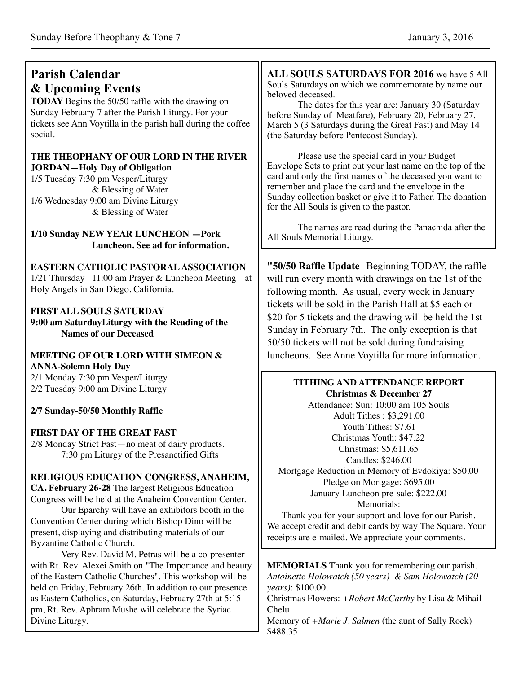#### **Parish Calendar & Upcoming Events TODAY** Begins the 50/50 raffle with the drawing on Sunday February 7 after the Parish Liturgy. For your tickets see Ann Voytilla in the parish hall during the coffee social. **THE THEOPHANY OF OUR LORD IN THE RIVER JORDAN—Holy Day of Obligation** 1/5 Tuesday 7:30 pm Vesper/Liturgy & Blessing of Water 1/6 Wednesday 9:00 am Divine Liturgy & Blessing of Water **1/10 Sunday NEW YEAR LUNCHEON —Pork Luncheon. See ad for information. EASTERN CATHOLIC PASTORAL ASSOCIATION** 1/21 Thursday 11:00 am Prayer & Luncheon Meeting at Holy Angels in San Diego, California. **FIRST ALL SOULS SATURDAY 9:00 am SaturdayLiturgy with the Reading of the Names of our Deceased MEETING OF OUR LORD WITH SIMEON & ANNA-Solemn Holy Day** 2/1 Monday 7:30 pm Vesper/Liturgy 2/2 Tuesday 9:00 am Divine Liturgy **2/7 Sunday-50/50 Monthly Raffle FIRST DAY OF THE GREAT FAST** 2/8 Monday Strict Fast—no meat of dairy products. 7:30 pm Liturgy of the Presanctified Gifts **ALL SOULS SATURDAYS FOR 2016** we have 5 All Souls Saturdays on which we commemorate by name our beloved deceased. The dates for this year are: January 30 (Saturday before Sunday of Meatfare), February 20, February 27, March 5 (3 Saturdays during the Great Fast) and May 14 (the Saturday before Pentecost Sunday). Please use the special card in your Budget Envelope Sets to print out your last name on the top of the card and only the first names of the deceased you want to remember and place the card and the envelope in the Sunday collection basket or give it to Father. The donation for the All Souls is given to the pastor. The names are read during the Panachida after the All Souls Memorial Liturgy. **"50/50 Raffle Update**--Beginning TODAY, the raffle will run every month with drawings on the 1st of the following month. As usual, every week in January tickets will be sold in the Parish Hall at \$5 each or \$20 for 5 tickets and the drawing will be held the 1st Sunday in February 7th. The only exception is that 50/50 tickets will not be sold during fundraising luncheons. See Anne Voytilla for more information. **TITHING AND ATTENDANCE REPORT Christmas & December 27**  Attendance: Sun: 10:00 am 105 Souls Adult Tithes : \$3,291.00 Youth Tithes: \$7.61 Christmas Youth: \$47.22 Christmas: \$5,611.65 Candles: \$246.00

**RELIGIOUS EDUCATION CONGRESS, ANAHEIM,** 

**CA. February 26-28** The largest Religious Education Congress will be held at the Anaheim Convention Center.

Our Eparchy will have an exhibitors booth in the Convention Center during which Bishop Dino will be present, displaying and distributing materials of our Byzantine Catholic Church.

Very Rev. David M. Petras will be a co-presenter with Rt. Rev. Alexei Smith on "The Importance and beauty of the Eastern Catholic Churches". This workshop will be held on Friday, February 26th. In addition to our presence as Eastern Catholics, on Saturday, February 27th at 5:15 pm, Rt. Rev. Aphram Mushe will celebrate the Syriac Divine Liturgy.

Mortgage Reduction in Memory of Evdokiya: \$50.00 Pledge on Mortgage: \$695.00 January Luncheon pre-sale: \$222.00 Memorials:

Thank you for your support and love for our Parish. We accept credit and debit cards by way The Square. Your receipts are e-mailed. We appreciate your comments.

**MEMORIALS** Thank you for remembering our parish. *Antoinette Holowatch (50 years) & Sam Holowatch (20 years)*: \$100.00.

Christmas Flowers: *+Robert McCarthy* by Lisa & Mihail Chelu

Memory of *+Marie J. Salmen* (the aunt of Sally Rock) \$488.35